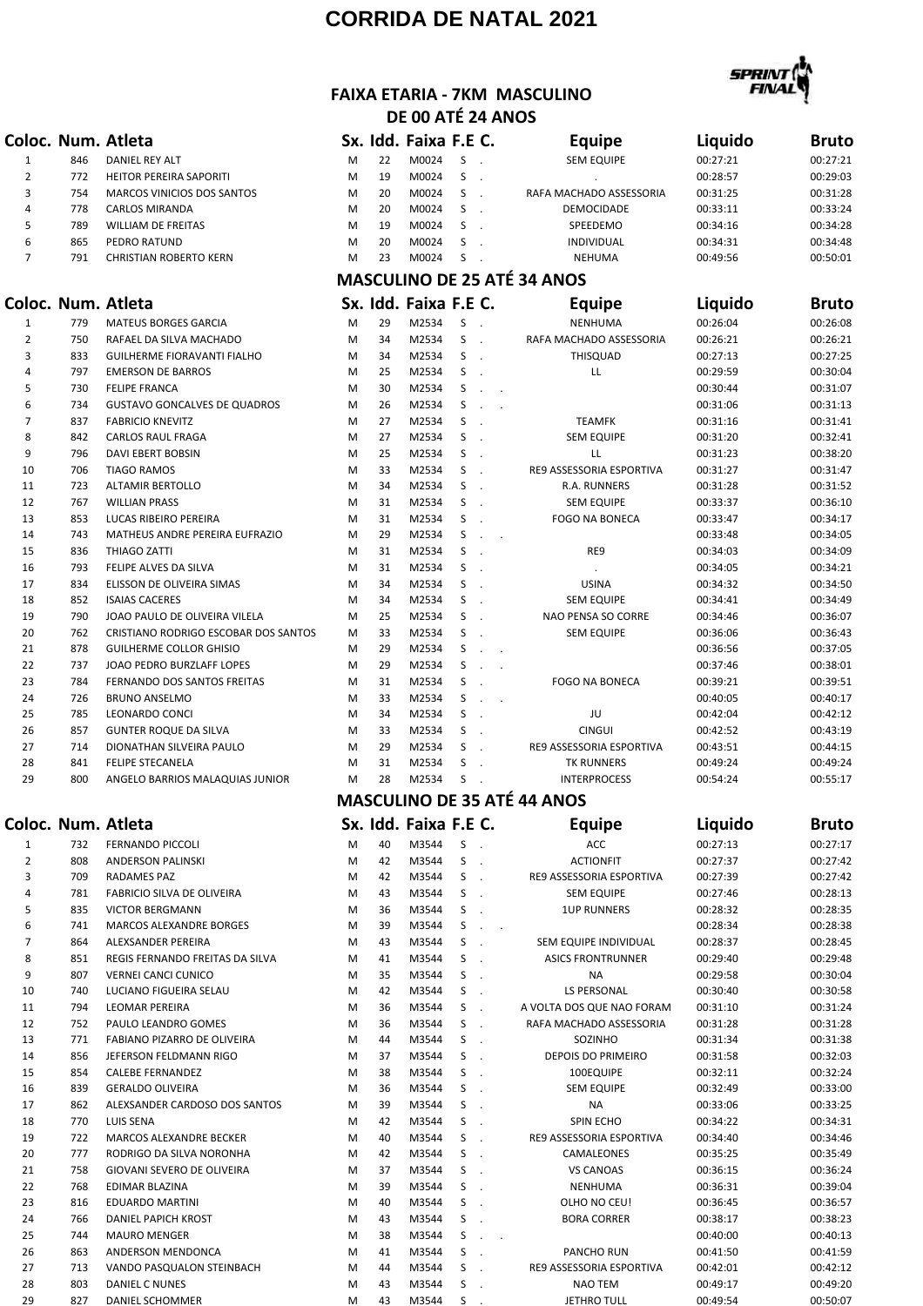## **CORRIDA DE NATAL 2021**



## **FAIXA ETARIA - 7KM MASCULINO DE 00 ATÉ 24 ANOS**

|                |     | Coloc. Num. Atleta                   |   |    | Sx. Idd. Faixa F.E C. |    |                                                        | <b>Equipe</b>                      | Liquido  | <b>Bruto</b> |
|----------------|-----|--------------------------------------|---|----|-----------------------|----|--------------------------------------------------------|------------------------------------|----------|--------------|
| 1              | 846 | DANIEL REY ALT                       | M | 22 | M0024                 | S  | $\overline{\phantom{a}}$                               | <b>SEM EQUIPE</b>                  | 00:27:21 | 00:27:21     |
| $\overline{2}$ | 772 | HEITOR PEREIRA SAPORITI              | M | 19 | M0024                 | S  | $\ddot{\phantom{a}}$                                   |                                    | 00:28:57 | 00:29:03     |
| 3              | 754 | MARCOS VINICIOS DOS SANTOS           | M | 20 | M0024                 | S  | $\ddot{\phantom{a}}$                                   | RAFA MACHADO ASSESSORIA            | 00:31:25 | 00:31:28     |
| 4              | 778 | CARLOS MIRANDA                       | M | 20 | M0024                 | S  | $\ddot{\phantom{a}}$                                   | DEMOCIDADE                         | 00:33:11 | 00:33:24     |
| 5              | 789 | <b>WILLIAM DE FREITAS</b>            | M | 19 | M0024                 | S  |                                                        | SPEEDEMO                           | 00:34:16 | 00:34:28     |
| 6              | 865 | PEDRO RATUND                         | M | 20 | M0024                 | S  |                                                        | INDIVIDUAL                         | 00:34:31 | 00:34:48     |
| $\overline{7}$ | 791 | <b>CHRISTIAN ROBERTO KERN</b>        | M | 23 | M0024                 | S  |                                                        | <b>NEHUMA</b>                      | 00:49:56 | 00:50:01     |
|                |     |                                      |   |    |                       |    |                                                        | <b>MASCULINO DE 25 ATÉ 34 ANOS</b> |          |              |
|                |     | Coloc. Num. Atleta                   |   |    | Sx. Idd. Faixa F.E C. |    |                                                        | <b>Equipe</b>                      | Liquido  | <b>Bruto</b> |
| 1              | 779 | <b>MATEUS BORGES GARCIA</b>          | M | 29 | M2534                 | S  |                                                        | <b>NENHUMA</b>                     | 00:26:04 | 00:26:08     |
| $\overline{2}$ | 750 | RAFAEL DA SILVA MACHADO              | M | 34 | M2534                 | S  | $\sim$                                                 | RAFA MACHADO ASSESSORIA            | 00:26:21 | 00:26:21     |
| 3              | 833 | GUILHERME FIORAVANTI FIALHO          | M | 34 | M2534                 | S  | $\ddot{\phantom{a}}$                                   | THISQUAD                           | 00:27:13 | 00:27:25     |
| 4              | 797 | <b>EMERSON DE BARROS</b>             | M | 25 | M2534                 | S  |                                                        | LL                                 | 00:29:59 | 00:30:04     |
| 5              | 730 | <b>FELIPE FRANCA</b>                 | M | 30 | M2534                 | S  | $\sim$                                                 |                                    | 00:30:44 | 00:31:07     |
| 6              | 734 | <b>GUSTAVO GONCALVES DE QUADROS</b>  | M | 26 | M2534                 | S  | $\sim$<br>$\sim$                                       |                                    | 00:31:06 | 00:31:13     |
| $\overline{7}$ | 837 | <b>FABRICIO KNEVITZ</b>              | M | 27 | M2534                 | S  |                                                        | <b>TEAMFK</b>                      | 00:31:16 | 00:31:41     |
| 8              | 842 | <b>CARLOS RAUL FRAGA</b>             | M | 27 | M2534                 | S  |                                                        | <b>SEM EQUIPE</b>                  | 00:31:20 | 00:32:41     |
| 9              | 796 | DAVI EBERT BOBSIN                    | M | 25 | M2534                 | S  |                                                        | LL                                 | 00:31:23 | 00:38:20     |
| 10             | 706 | <b>TIAGO RAMOS</b>                   | M | 33 | M2534                 | S  | $\sim$                                                 | RE9 ASSESSORIA ESPORTIVA           | 00:31:27 | 00:31:47     |
| 11             | 723 | ALTAMIR BERTOLLO                     | M | 34 | M2534                 | S  |                                                        | R.A. RUNNERS                       | 00:31:28 | 00:31:52     |
| 12             | 767 | <b>WILLIAN PRASS</b>                 | M | 31 | M2534                 | S  |                                                        | <b>SEM EQUIPE</b>                  | 00:33:37 | 00:36:10     |
| 13             | 853 | LUCAS RIBEIRO PEREIRA                | M | 31 | M2534                 | S  |                                                        | <b>FOGO NA BONECA</b>              | 00:33:47 | 00:34:17     |
| 14             | 743 | MATHEUS ANDRE PEREIRA EUFRAZIO       | M | 29 | M2534                 | S  | $\sim$<br>$\sim$                                       |                                    | 00:33:48 | 00:34:05     |
| 15             | 836 | THIAGO ZATTI                         | M | 31 | M2534                 | S  |                                                        | RE9                                | 00:34:03 | 00:34:09     |
| 16             | 793 | FELIPE ALVES DA SILVA                | M | 31 | M2534                 | S  |                                                        |                                    | 00:34:05 | 00:34:21     |
| 17             | 834 | ELISSON DE OLIVEIRA SIMAS            | M | 34 | M2534                 | S  |                                                        | <b>USINA</b>                       | 00:34:32 | 00:34:50     |
| 18             | 852 | <b>ISAIAS CACERES</b>                | M | 34 | M2534                 | S  |                                                        | <b>SEM EQUIPE</b>                  | 00:34:41 | 00:34:49     |
| 19             | 790 | JOAO PAULO DE OLIVEIRA VILELA        | M | 25 | M2534                 | S  |                                                        | NAO PENSA SO CORRE                 | 00:34:46 | 00:36:07     |
| 20             | 762 | CRISTIANO RODRIGO ESCOBAR DOS SANTOS | M | 33 | M2534                 | S  |                                                        | <b>SEM EQUIPE</b>                  | 00:36:06 | 00:36:43     |
| 21             | 878 | <b>GUILHERME COLLOR GHISIO</b>       | M | 29 | M2534                 | S  | $\sim$<br>$\sim$                                       |                                    | 00:36:56 | 00:37:05     |
| 22             | 737 | JOAO PEDRO BURZLAFF LOPES            | M | 29 | M2534                 | S  | $\mathcal{L}_{\mathbf{r}}$<br>$\overline{\phantom{a}}$ |                                    | 00:37:46 | 00:38:01     |
| 23             | 784 | FERNANDO DOS SANTOS FREITAS          | M | 31 | M2534                 | S  |                                                        | <b>FOGO NA BONECA</b>              | 00:39:21 | 00:39:51     |
| 24             | 726 | <b>BRUNO ANSELMO</b>                 | M | 33 | M2534                 | S  | $\ddot{\phantom{a}}$<br>$\blacksquare$                 |                                    | 00:40:05 | 00:40:17     |
| 25             | 785 | LEONARDO CONCI                       | M | 34 | M2534                 | S  |                                                        | JU                                 | 00:42:04 | 00:42:12     |
| 26             | 857 | <b>GUNTER ROQUE DA SILVA</b>         | M | 33 | M2534                 | S  |                                                        | <b>CINGUI</b>                      | 00:42:52 | 00:43:19     |
| 27             | 714 | DIONATHAN SILVEIRA PAULO             | M | 29 | M2534                 | S  |                                                        | RE9 ASSESSORIA ESPORTIVA           | 00:43:51 | 00:44:15     |
| 28             | 841 | FELIPE STECANELA                     | M | 31 | M2534                 | S  |                                                        | TK RUNNERS                         | 00:49:24 | 00:49:24     |
| 29             | 800 | ANGELO BARRIOS MALAQUIAS JUNIOR      | M | 28 | M2534                 | S  |                                                        | <b>INTERPROCESS</b>                | 00:54:24 | 00:55:17     |
|                |     |                                      |   |    |                       |    |                                                        | <b>MASCULINO DE 35 ATÉ 44 ANOS</b> |          |              |
|                |     | Coloc. Num. Atleta                   |   |    | Sx. Idd. Faixa F.E C. |    |                                                        | <b>Equipe</b>                      | Liquido  | <b>Bruto</b> |
| $\mathbf{1}$   | 732 | <b>FERNANDO PICCOLI</b>              | M | 40 | M3544                 | S  | $\blacksquare$ .                                       | ACC                                | 00:27:13 | 00:27:17     |
| $\overline{2}$ | 808 | ANDERSON PALINSKI                    | M | 42 | M3544                 | S  | $\ddot{\phantom{a}}$                                   | <b>ACTIONFIT</b>                   | 00:27:37 | 00:27:42     |
| 3              | 709 | RADAMES PAZ                          | M | 42 | M3544                 | S  | $\blacksquare$ .                                       | RE9 ASSESSORIA ESPORTIVA           | 00:27:39 | 00:27:42     |
| 4              | 781 | FABRICIO SILVA DE OLIVEIRA           | M | 43 | M3544                 | S  | $\blacksquare$ .                                       | <b>SEM EQUIPE</b>                  | 00:27:46 | 00:28:13     |
| 5              | 835 | <b>VICTOR BERGMANN</b>               | M | 36 | M3544                 | S  |                                                        | <b>1UP RUNNERS</b>                 | 00:28:32 | 00:28:35     |
| 6              | 741 | MARCOS ALEXANDRE BORGES              | M | 39 | M3544                 | S  | $\sim$<br>$\ddot{\phantom{a}}$                         |                                    | 00:28:34 | 00:28:38     |
| $\overline{7}$ | 864 | ALEXSANDER PEREIRA                   | M | 43 | M3544                 | S  | $\overline{\phantom{a}}$                               | SEM EQUIPE INDIVIDUAL              | 00:28:37 | 00:28:45     |
| 8              | 851 | REGIS FERNANDO FREITAS DA SILVA      | M | 41 | M3544                 | S  | $\sim$                                                 | <b>ASICS FRONTRUNNER</b>           | 00:29:40 | 00:29:48     |
| 9              | 807 | <b>VERNEI CANCI CUNICO</b>           | M | 35 | M3544                 | S  | $\sim$                                                 | NA                                 | 00:29:58 | 00:30:04     |
| 10             | 740 | LUCIANO FIGUEIRA SELAU               | M | 42 | M3544                 | S  | $\blacksquare$ .                                       | LS PERSONAL                        | 00:30:40 | 00:30:58     |
| 11             | 794 | LEOMAR PEREIRA                       | M | 36 | M3544                 | S  | $\ddot{\phantom{a}}$                                   | A VOLTA DOS QUE NAO FORAM          | 00:31:10 | 00:31:24     |
| 12             | 752 | PAULO LEANDRO GOMES                  | M | 36 | M3544                 | S  | $\sim$                                                 | RAFA MACHADO ASSESSORIA            | 00:31:28 | 00:31:28     |
| 13             | 771 | FABIANO PIZARRO DE OLIVEIRA          | M | 44 | M3544                 | S  | $\blacksquare$ .                                       | SOZINHO                            | 00:31:34 | 00:31:38     |
| 14             | 856 | JEFERSON FELDMANN RIGO               | M | 37 | M3544                 | S  | $\overline{\phantom{a}}$                               | DEPOIS DO PRIMEIRO                 | 00:31:58 | 00:32:03     |
| 15             | 854 | <b>CALEBE FERNANDEZ</b>              | M | 38 | M3544                 | S  | $\overline{\phantom{a}}$                               | 100EQUIPE                          | 00:32:11 | 00:32:24     |
| 16             | 839 | <b>GERALDO OLIVEIRA</b>              | M | 36 | M3544                 | S  | $\blacksquare$ .                                       | <b>SEM EQUIPE</b>                  | 00:32:49 | 00:33:00     |
| 17             | 862 | ALEXSANDER CARDOSO DOS SANTOS        | M | 39 | M3544                 | S  | $\blacksquare$ .                                       | NA                                 | 00:33:06 | 00:33:25     |
| 18             | 770 | LUIS SENA                            | M | 42 | M3544                 | S  | $\sim$                                                 | SPIN ECHO                          | 00:34:22 | 00:34:31     |
| 19             | 722 | MARCOS ALEXANDRE BECKER              | M | 40 | M3544                 | S  | $\overline{\phantom{a}}$                               | RE9 ASSESSORIA ESPORTIVA           | 00:34:40 | 00:34:46     |
| 20             | 777 | RODRIGO DA SILVA NORONHA             | M | 42 | M3544                 | S  | $\sim$                                                 | CAMALEONES                         | 00:35:25 | 00:35:49     |
| 21             | 758 | GIOVANI SEVERO DE OLIVEIRA           | M | 37 | M3544                 | S  | $\ddot{\phantom{a}}$                                   | <b>VS CANOAS</b>                   | 00:36:15 | 00:36:24     |
| 22             | 768 | EDIMAR BLAZINA                       | M | 39 | M3544                 | S  | $\overline{\phantom{a}}$                               | NENHUMA                            | 00:36:31 | 00:39:04     |
| 23             | 816 | <b>EDUARDO MARTINI</b>               | M | 40 | M3544                 | S  | $\overline{\phantom{a}}$                               | OLHO NO CEU!                       | 00:36:45 | 00:36:57     |
| 24             | 766 | DANIEL PAPICH KROST                  | M | 43 | M3544                 | S  |                                                        | <b>BORA CORRER</b>                 | 00:38:17 | 00:38:23     |
| 25             | 744 | <b>MAURO MENGER</b>                  | M | 38 | M3544                 | S  | $\alpha$<br>$\sim$                                     |                                    | 00:40:00 | 00:40:13     |
| 26             | 863 | ANDERSON MENDONCA                    | M | 41 | M3544                 | S  | $\overline{\phantom{a}}$                               | PANCHO RUN                         | 00:41:50 | 00:41:59     |
| 27             | 713 | VANDO PASQUALON STEINBACH            | M | 44 | M3544                 | S  | $\sim$                                                 | RE9 ASSESSORIA ESPORTIVA           | 00:42:01 | 00:42:12     |
| 28             | 803 | DANIEL C NUNES                       | M | 43 | M3544                 | S  | $\blacksquare$ .                                       | <b>NAO TEM</b>                     | 00:49:17 | 00:49:20     |
| 29             | 827 | DANIEL SCHOMMER                      | M | 43 | M3544                 | S. |                                                        | <b>JETHRO TULL</b>                 | 00:49:54 | 00:50:07     |